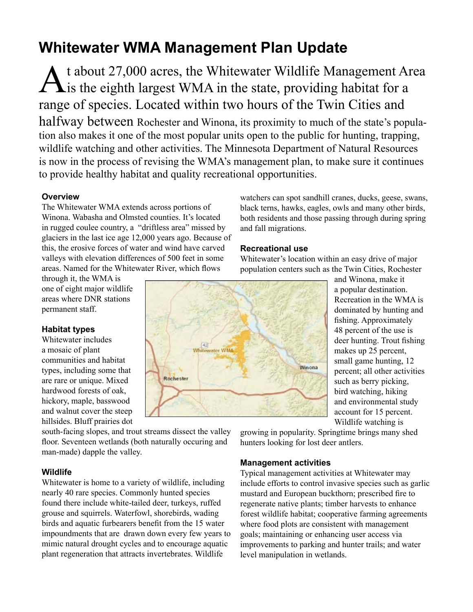# **Whitewater WMA Management Plan Update**

At about 27,000 acres, the Whitewater Wildlife Management Area<br>
is the eighth largest WMA in the state, providing habitat for a range of species. Located within two hours of the Twin Cities and halfway between Rochester and Winona, its proximity to much of the state's population also makes it one of the most popular units open to the public for hunting, trapping, wildlife watching and other activities. The Minnesota Department of Natural Resources is now in the process of revising the WMA's management plan, to make sure it continues to provide healthy habitat and quality recreational opportunities.

# **Overview**

The Whitewater WMA extends across portions of Winona. Wabasha and Olmsted counties. It's located in rugged coulee country, a "driftless area" missed by glaciers in the last ice age 12,000 years ago. Because of this, the erosive forces of water and wind have carved valleys with elevation differences of 500 feet in some areas. Named for the Whitewater River, which flows

through it, the WMA is one of eight major wildlife areas where DNR stations permanent staff.

# **Habitat types**

Whitewater includes a mosaic of plant communities and habitat types, including some that are rare or unique. Mixed hardwood forests of oak, hickory, maple, basswood and walnut cover the steep hillsides. Bluff prairies dot

south-facing slopes, and trout streams dissect the valley floor. Seventeen wetlands (both naturally occuring and man-made) dapple the valley.

# **Wildlife**

Whitewater is home to a variety of wildlife, including nearly 40 rare species. Commonly hunted species found there include white-tailed deer, turkeys, ruffed grouse and squirrels. Waterfowl, shorebirds, wading birds and aquatic furbearers benefit from the 15 water impoundments that are drawn down every few years to mimic natural drought cycles and to encourage aquatic plant regeneration that attracts invertebrates. Wildlife

watchers can spot sandhill cranes, ducks, geese, swans, black terns, hawks, eagles, owls and many other birds, both residents and those passing through during spring and fall migrations.

## **Recreational use**

Whitewater's location within an easy drive of major population centers such as the Twin Cities, Rochester



and Winona, make it a popular destination. Recreation in the WMA is dominated by hunting and fishing. Approximately 48 percent of the use is deer hunting. Trout fishing makes up 25 percent, small game hunting, 12 percent; all other activities such as berry picking, bird watching, hiking and environmental study account for 15 percent. Wildlife watching is

growing in popularity. Springtime brings many shed hunters looking for lost deer antlers.

## **Management activities**

Typical management activities at Whitewater may include efforts to control invasive species such as garlic mustard and European buckthorn; prescribed fire to regenerate native plants; timber harvests to enhance forest wildlife habitat; cooperative farming agreements where food plots are consistent with management goals; maintaining or enhancing user access via improvements to parking and hunter trails; and water level manipulation in wetlands.